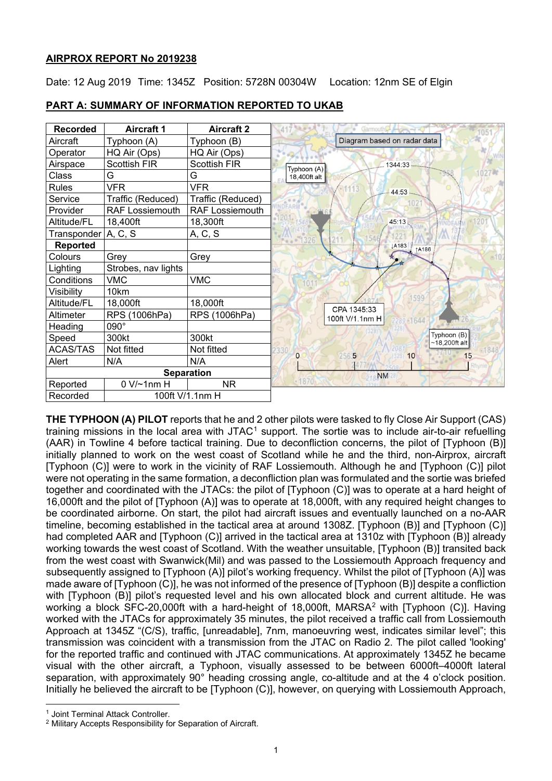# **AIRPROX REPORT No 2019238**

Date: 12 Aug 2019 Time: 1345Z Position: 5728N 00304W Location: 12nm SE of Elgin

| <b>Recorded</b>             | <b>Aircraft 1</b>      | <b>Aircraft 2</b>      |                                 |
|-----------------------------|------------------------|------------------------|---------------------------------|
| Aircraft                    | Typhoon (A)            | Typhoon (B)            | Diagram based on radar data     |
| Operator                    | HQ Air (Ops)           | HQ Air (Ops)           |                                 |
| Airspace                    | <b>Scottish FIR</b>    | <b>Scottish FIR</b>    | 1344:33<br>Typhoon (A)          |
| Class                       | G                      | G                      | 18,400ft alt                    |
| <b>Rules</b>                | <b>VFR</b>             | <b>VFR</b>             | 44:53                           |
| Service                     | Traffic (Reduced)      | Traffic (Reduced)      |                                 |
| Provider                    | <b>RAF Lossiemouth</b> | <b>RAF Lossiemouth</b> |                                 |
| Altitude/FL                 | 18,400ft               | 18,300ft               | 45:13                           |
| Transponder A, C, S         |                        | A, C, S                | 1326                            |
| <b>Reported</b>             |                        |                        | <b>JA183</b><br><b>1A186</b>    |
| Colours                     | Grey                   | Grey                   |                                 |
| Lighting                    | Strobes, nav lights    |                        |                                 |
| Conditions                  | <b>VMC</b>             | <b>VMC</b>             | 101                             |
| Visibility                  | 10km                   |                        | 1599                            |
| Altitude/FL                 | 18,000ft               | 18,000ft               | CPA 1345:33                     |
| Altimeter                   | RPS (1006hPa)          | RPS (1006hPa)          | 100ft V/1.1nm H<br>289 61644    |
| Heading                     | $090^\circ$            |                        |                                 |
| Speed                       | 300kt                  | 300kt                  | Typhoon (B)<br>$~18,200$ ft alt |
| <b>ACAS/TAS</b>             | Not fitted             | Not fitted             | $\Omega$<br>5<br>15<br>10       |
| Alert                       | N/A                    | N/A                    | 256                             |
| <b>Separation</b>           |                        |                        | <b>NM</b>                       |
| Reported                    | $0 V/-1$ nm H          | <b>NR</b>              | $-1870$                         |
| 100ft V/1.1nm H<br>Recorded |                        |                        |                                 |

## **PART A: SUMMARY OF INFORMATION REPORTED TO UKAB**

**THE TYPHOON (A) PILOT** reports that he and 2 other pilots were tasked to fly Close Air Support (CAS) training missions in the local area with JTAC<sup>[1](#page-0-0)</sup> support. The sortie was to include air-to-air refuelling (AAR) in Towline 4 before tactical training. Due to deconfliction concerns, the pilot of [Typhoon (B)] initially planned to work on the west coast of Scotland while he and the third, non-Airprox, aircraft [Typhoon (C)] were to work in the vicinity of RAF Lossiemouth. Although he and [Typhoon (C)] pilot were not operating in the same formation, a deconfliction plan was formulated and the sortie was briefed together and coordinated with the JTACs: the pilot of [Typhoon (C)] was to operate at a hard height of 16,000ft and the pilot of [Typhoon (A)] was to operate at 18,000ft, with any required height changes to be coordinated airborne. On start, the pilot had aircraft issues and eventually launched on a no-AAR timeline, becoming established in the tactical area at around 1308Z. [Typhoon (B)] and [Typhoon (C)] had completed AAR and [Typhoon (C)] arrived in the tactical area at 1310z with [Typhoon (B)] already working towards the west coast of Scotland. With the weather unsuitable, [Typhoon (B)] transited back from the west coast with Swanwick(Mil) and was passed to the Lossiemouth Approach frequency and subsequently assigned to [Typhoon (A)] pilot's working frequency. Whilst the pilot of [Typhoon (A)] was made aware of [Typhoon (C)], he was not informed of the presence of [Typhoon (B)] despite a confliction with [Typhoon (B)] pilot's requested level and his own allocated block and current altitude. He was working a block SFC-[2](#page-0-1)0,000ft with a hard-height of 18,000ft, MARSA<sup>2</sup> with [Typhoon (C)]. Having worked with the JTACs for approximately 35 minutes, the pilot received a traffic call from Lossiemouth Approach at 1345Z "(C/S), traffic, [unreadable], 7nm, manoeuvring west, indicates similar level"; this transmission was coincident with a transmission from the JTAC on Radio 2. The pilot called 'looking' for the reported traffic and continued with JTAC communications. At approximately 1345Z he became visual with the other aircraft, a Typhoon, visually assessed to be between 6000ft–4000ft lateral separation, with approximately 90° heading crossing angle, co-altitude and at the 4 o'clock position. Initially he believed the aircraft to be [Typhoon (C)], however, on querying with Lossiemouth Approach,

 $\overline{\phantom{a}}$ 

<span id="page-0-0"></span><sup>1</sup> Joint Terminal Attack Controller.

<span id="page-0-1"></span><sup>2</sup> Military Accepts Responsibility for Separation of Aircraft.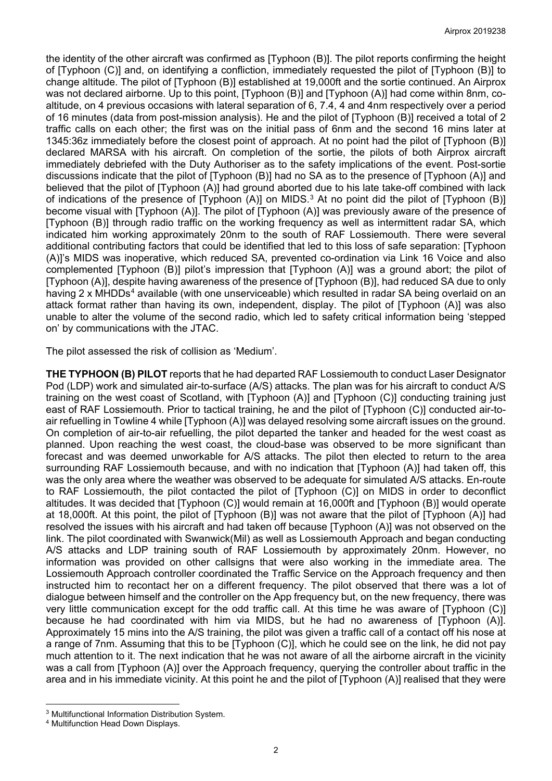the identity of the other aircraft was confirmed as [Typhoon (B)]. The pilot reports confirming the height of [Typhoon (C)] and, on identifying a confliction, immediately requested the pilot of [Typhoon (B)] to change altitude. The pilot of [Typhoon (B)] established at 19,000ft and the sortie continued. An Airprox was not declared airborne. Up to this point, [Typhoon (B)] and [Typhoon (A)] had come within 8nm, coaltitude, on 4 previous occasions with lateral separation of 6, 7.4, 4 and 4nm respectively over a period of 16 minutes (data from post-mission analysis). He and the pilot of [Typhoon (B)] received a total of 2 traffic calls on each other; the first was on the initial pass of 6nm and the second 16 mins later at 1345:36z immediately before the closest point of approach. At no point had the pilot of [Typhoon (B)] declared MARSA with his aircraft. On completion of the sortie, the pilots of both Airprox aircraft immediately debriefed with the Duty Authoriser as to the safety implications of the event. Post-sortie discussions indicate that the pilot of [Typhoon (B)] had no SA as to the presence of [Typhoon (A)] and believed that the pilot of [Typhoon (A)] had ground aborted due to his late take-off combined with lack of indications of the presence of [Typhoon (A)] on MIDS[.3](#page-1-0) At no point did the pilot of [Typhoon (B)] become visual with [Typhoon (A)]. The pilot of [Typhoon (A)] was previously aware of the presence of [Typhoon (B)] through radio traffic on the working frequency as well as intermittent radar SA, which indicated him working approximately 20nm to the south of RAF Lossiemouth. There were several additional contributing factors that could be identified that led to this loss of safe separation: [Typhoon (A)]'s MIDS was inoperative, which reduced SA, prevented co-ordination via Link 16 Voice and also complemented [Typhoon (B)] pilot's impression that [Typhoon (A)] was a ground abort; the pilot of [Typhoon (A)], despite having awareness of the presence of [Typhoon (B)], had reduced SA due to only having 2 x MHDDs<sup>[4](#page-1-1)</sup> available (with one unserviceable) which resulted in radar SA being overlaid on an attack format rather than having its own, independent, display. The pilot of [Typhoon (A)] was also unable to alter the volume of the second radio, which led to safety critical information being 'stepped on' by communications with the JTAC.

The pilot assessed the risk of collision as 'Medium'.

**THE TYPHOON (B) PILOT** reports that he had departed RAF Lossiemouth to conduct Laser Designator Pod (LDP) work and simulated air-to-surface (A/S) attacks. The plan was for his aircraft to conduct A/S training on the west coast of Scotland, with [Typhoon (A)] and [Typhoon (C)] conducting training just east of RAF Lossiemouth. Prior to tactical training, he and the pilot of [Typhoon (C)] conducted air-toair refuelling in Towline 4 while [Typhoon (A)] was delayed resolving some aircraft issues on the ground. On completion of air-to-air refuelling, the pilot departed the tanker and headed for the west coast as planned. Upon reaching the west coast, the cloud-base was observed to be more significant than forecast and was deemed unworkable for A/S attacks. The pilot then elected to return to the area surrounding RAF Lossiemouth because, and with no indication that [Typhoon (A)] had taken off, this was the only area where the weather was observed to be adequate for simulated A/S attacks. En-route to RAF Lossiemouth, the pilot contacted the pilot of [Typhoon (C)] on MIDS in order to deconflict altitudes. It was decided that [Typhoon (C)] would remain at 16,000ft and [Typhoon (B)] would operate at 18,000ft. At this point, the pilot of [Typhoon (B)] was not aware that the pilot of [Typhoon (A)] had resolved the issues with his aircraft and had taken off because [Typhoon (A)] was not observed on the link. The pilot coordinated with Swanwick(Mil) as well as Lossiemouth Approach and began conducting A/S attacks and LDP training south of RAF Lossiemouth by approximately 20nm. However, no information was provided on other callsigns that were also working in the immediate area. The Lossiemouth Approach controller coordinated the Traffic Service on the Approach frequency and then instructed him to recontact her on a different frequency. The pilot observed that there was a lot of dialogue between himself and the controller on the App frequency but, on the new frequency, there was very little communication except for the odd traffic call. At this time he was aware of [Typhoon (C)] because he had coordinated with him via MIDS, but he had no awareness of [Typhoon (A)]. Approximately 15 mins into the A/S training, the pilot was given a traffic call of a contact off his nose at a range of 7nm. Assuming that this to be [Typhoon (C)], which he could see on the link, he did not pay much attention to it. The next indication that he was not aware of all the airborne aircraft in the vicinity was a call from [Typhoon (A)] over the Approach frequency, querying the controller about traffic in the area and in his immediate vicinity. At this point he and the pilot of [Typhoon (A)] realised that they were

 $\overline{\phantom{a}}$ <sup>3</sup> Multifunctional Information Distribution System.

<span id="page-1-1"></span><span id="page-1-0"></span><sup>4</sup> Multifunction Head Down Displays.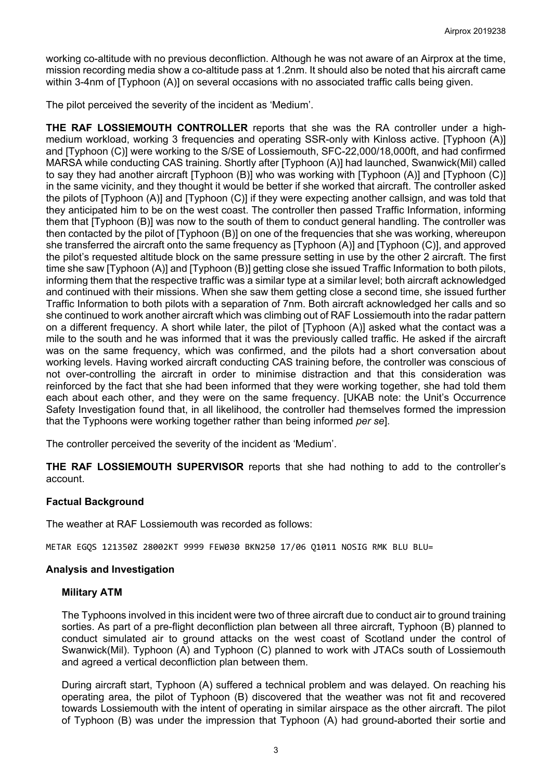working co-altitude with no previous deconfliction. Although he was not aware of an Airprox at the time, mission recording media show a co-altitude pass at 1.2nm. It should also be noted that his aircraft came within 3-4nm of [Typhoon (A)] on several occasions with no associated traffic calls being given.

The pilot perceived the severity of the incident as 'Medium'.

**THE RAF LOSSIEMOUTH CONTROLLER** reports that she was the RA controller under a highmedium workload, working 3 frequencies and operating SSR-only with Kinloss active. [Typhoon (A)] and [Typhoon (C)] were working to the S/SE of Lossiemouth, SFC-22,000/18,000ft, and had confirmed MARSA while conducting CAS training. Shortly after [Typhoon (A)] had launched, Swanwick(Mil) called to say they had another aircraft [Typhoon (B)] who was working with [Typhoon (A)] and [Typhoon (C)] in the same vicinity, and they thought it would be better if she worked that aircraft. The controller asked the pilots of [Typhoon (A)] and [Typhoon (C)] if they were expecting another callsign, and was told that they anticipated him to be on the west coast. The controller then passed Traffic Information, informing them that [Typhoon (B)] was now to the south of them to conduct general handling. The controller was then contacted by the pilot of [Typhoon (B)] on one of the frequencies that she was working, whereupon she transferred the aircraft onto the same frequency as [Typhoon (A)] and [Typhoon (C)], and approved the pilot's requested altitude block on the same pressure setting in use by the other 2 aircraft. The first time she saw [Typhoon (A)] and [Typhoon (B)] getting close she issued Traffic Information to both pilots, informing them that the respective traffic was a similar type at a similar level; both aircraft acknowledged and continued with their missions. When she saw them getting close a second time, she issued further Traffic Information to both pilots with a separation of 7nm. Both aircraft acknowledged her calls and so she continued to work another aircraft which was climbing out of RAF Lossiemouth into the radar pattern on a different frequency. A short while later, the pilot of [Typhoon (A)] asked what the contact was a mile to the south and he was informed that it was the previously called traffic. He asked if the aircraft was on the same frequency, which was confirmed, and the pilots had a short conversation about working levels. Having worked aircraft conducting CAS training before, the controller was conscious of not over-controlling the aircraft in order to minimise distraction and that this consideration was reinforced by the fact that she had been informed that they were working together, she had told them each about each other, and they were on the same frequency. [UKAB note: the Unit's Occurrence Safety Investigation found that, in all likelihood, the controller had themselves formed the impression that the Typhoons were working together rather than being informed *per se*].

The controller perceived the severity of the incident as 'Medium'.

**THE RAF LOSSIEMOUTH SUPERVISOR** reports that she had nothing to add to the controller's account.

# **Factual Background**

The weather at RAF Lossiemouth was recorded as follows:

METAR EGQS 121350Z 28002KT 9999 FEW030 BKN250 17/06 Q1011 NOSIG RMK BLU BLU=

# **Analysis and Investigation**

# **Military ATM**

The Typhoons involved in this incident were two of three aircraft due to conduct air to ground training sorties. As part of a pre-flight deconfliction plan between all three aircraft, Typhoon (B) planned to conduct simulated air to ground attacks on the west coast of Scotland under the control of Swanwick(Mil). Typhoon (A) and Typhoon (C) planned to work with JTACs south of Lossiemouth and agreed a vertical deconfliction plan between them.

During aircraft start, Typhoon (A) suffered a technical problem and was delayed. On reaching his operating area, the pilot of Typhoon (B) discovered that the weather was not fit and recovered towards Lossiemouth with the intent of operating in similar airspace as the other aircraft. The pilot of Typhoon (B) was under the impression that Typhoon (A) had ground-aborted their sortie and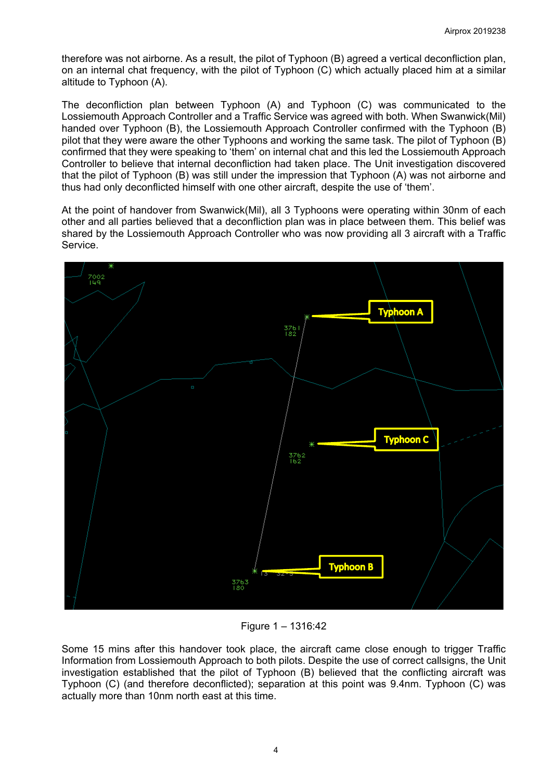therefore was not airborne. As a result, the pilot of Typhoon (B) agreed a vertical deconfliction plan, on an internal chat frequency, with the pilot of Typhoon (C) which actually placed him at a similar altitude to Typhoon (A).

The deconfliction plan between Typhoon (A) and Typhoon (C) was communicated to the Lossiemouth Approach Controller and a Traffic Service was agreed with both. When Swanwick(Mil) handed over Typhoon (B), the Lossiemouth Approach Controller confirmed with the Typhoon (B) pilot that they were aware the other Typhoons and working the same task. The pilot of Typhoon (B) confirmed that they were speaking to 'them' on internal chat and this led the Lossiemouth Approach Controller to believe that internal deconfliction had taken place. The Unit investigation discovered that the pilot of Typhoon (B) was still under the impression that Typhoon (A) was not airborne and thus had only deconflicted himself with one other aircraft, despite the use of 'them'.

At the point of handover from Swanwick(Mil), all 3 Typhoons were operating within 30nm of each other and all parties believed that a deconfliction plan was in place between them. This belief was shared by the Lossiemouth Approach Controller who was now providing all 3 aircraft with a Traffic Service.



Figure 1 – 1316:42

Some 15 mins after this handover took place, the aircraft came close enough to trigger Traffic Information from Lossiemouth Approach to both pilots. Despite the use of correct callsigns, the Unit investigation established that the pilot of Typhoon (B) believed that the conflicting aircraft was Typhoon (C) (and therefore deconflicted); separation at this point was 9.4nm. Typhoon (C) was actually more than 10nm north east at this time.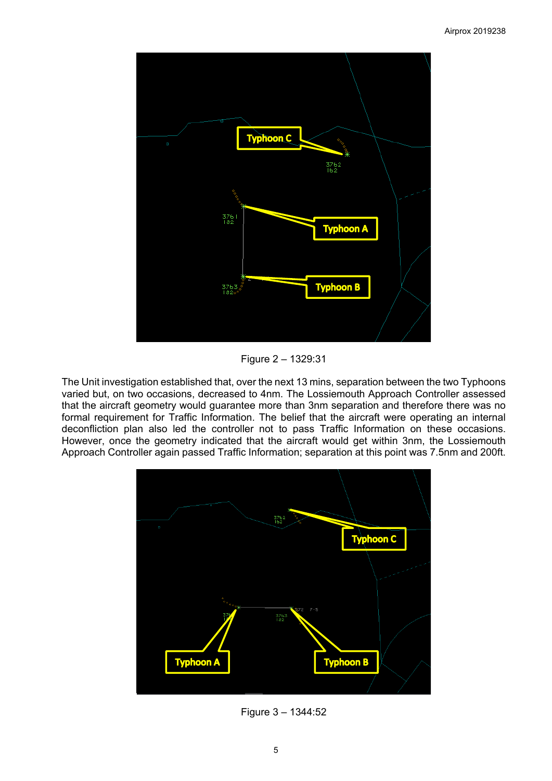

Figure 2 – 1329:31

The Unit investigation established that, over the next 13 mins, separation between the two Typhoons varied but, on two occasions, decreased to 4nm. The Lossiemouth Approach Controller assessed that the aircraft geometry would guarantee more than 3nm separation and therefore there was no formal requirement for Traffic Information. The belief that the aircraft were operating an internal deconfliction plan also led the controller not to pass Traffic Information on these occasions. However, once the geometry indicated that the aircraft would get within 3nm, the Lossiemouth Approach Controller again passed Traffic Information; separation at this point was 7.5nm and 200ft.



Figure 3 – 1344:52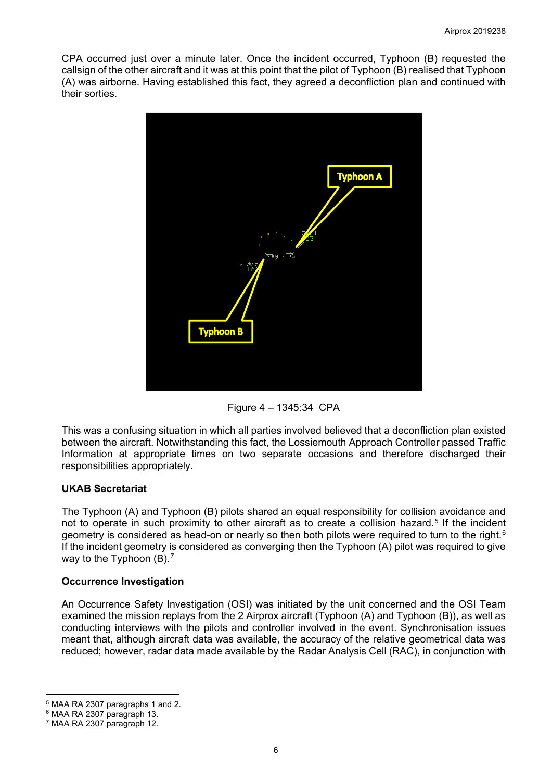CPA occurred just over a minute later. Once the incident occurred, Typhoon (B) requested the callsign of the other aircraft and it was at this point that the pilot of Typhoon (B) realised that Typhoon (A) was airborne. Having established this fact, they agreed a deconfliction plan and continued with their sorties.



Figure 4 – 1345:34 CPA

This was a confusing situation in which all parties involved believed that a deconfliction plan existed between the aircraft. Notwithstanding this fact, the Lossiemouth Approach Controller passed Traffic Information at appropriate times on two separate occasions and therefore discharged their responsibilities appropriately.

# **UKAB Secretariat**

The Typhoon (A) and Typhoon (B) pilots shared an equal responsibility for collision avoidance and not to operate in such proximity to other aircraft as to create a collision hazard.<sup>[5](#page-5-0)</sup> If the incident geometry is considered as head-on or nearly so then both pilots were required to turn to the right.<sup>[6](#page-5-1)</sup> If the incident geometry is considered as converging then the Typhoon (A) pilot was required to give way to the Typhoon (B).<sup>[7](#page-5-2)</sup>

#### **Occurrence Investigation**

An Occurrence Safety Investigation (OSI) was initiated by the unit concerned and the OSI Team examined the mission replays from the 2 Airprox aircraft (Typhoon (A) and Typhoon (B)), as well as conducting interviews with the pilots and controller involved in the event. Synchronisation issues meant that, although aircraft data was available, the accuracy of the relative geometrical data was reduced; however, radar data made available by the Radar Analysis Cell (RAC), in conjunction with

l <sup>5</sup> MAA RA 2307 paragraphs 1 and 2.

<span id="page-5-1"></span><span id="page-5-0"></span><sup>6</sup> MAA RA 2307 paragraph 13.

<span id="page-5-2"></span><sup>7</sup> MAA RA 2307 paragraph 12.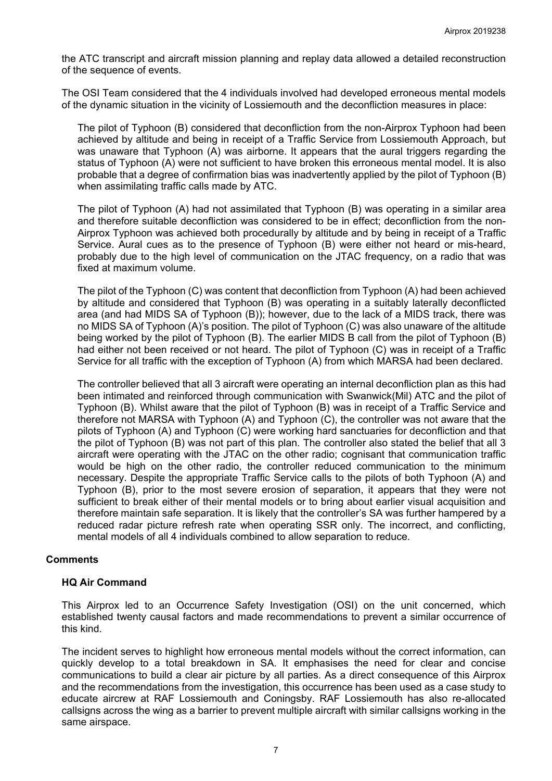the ATC transcript and aircraft mission planning and replay data allowed a detailed reconstruction of the sequence of events.

The OSI Team considered that the 4 individuals involved had developed erroneous mental models of the dynamic situation in the vicinity of Lossiemouth and the deconfliction measures in place:

The pilot of Typhoon (B) considered that deconfliction from the non-Airprox Typhoon had been achieved by altitude and being in receipt of a Traffic Service from Lossiemouth Approach, but was unaware that Typhoon (A) was airborne. It appears that the aural triggers regarding the status of Typhoon (A) were not sufficient to have broken this erroneous mental model. It is also probable that a degree of confirmation bias was inadvertently applied by the pilot of Typhoon (B) when assimilating traffic calls made by ATC.

The pilot of Typhoon (A) had not assimilated that Typhoon (B) was operating in a similar area and therefore suitable deconfliction was considered to be in effect; deconfliction from the non-Airprox Typhoon was achieved both procedurally by altitude and by being in receipt of a Traffic Service. Aural cues as to the presence of Typhoon (B) were either not heard or mis-heard, probably due to the high level of communication on the JTAC frequency, on a radio that was fixed at maximum volume.

The pilot of the Typhoon (C) was content that deconfliction from Typhoon (A) had been achieved by altitude and considered that Typhoon (B) was operating in a suitably laterally deconflicted area (and had MIDS SA of Typhoon (B)); however, due to the lack of a MIDS track, there was no MIDS SA of Typhoon (A)'s position. The pilot of Typhoon (C) was also unaware of the altitude being worked by the pilot of Typhoon (B). The earlier MIDS B call from the pilot of Typhoon (B) had either not been received or not heard. The pilot of Typhoon (C) was in receipt of a Traffic Service for all traffic with the exception of Typhoon (A) from which MARSA had been declared.

The controller believed that all 3 aircraft were operating an internal deconfliction plan as this had been intimated and reinforced through communication with Swanwick(Mil) ATC and the pilot of Typhoon (B). Whilst aware that the pilot of Typhoon (B) was in receipt of a Traffic Service and therefore not MARSA with Typhoon (A) and Typhoon (C), the controller was not aware that the pilots of Typhoon (A) and Typhoon (C) were working hard sanctuaries for deconfliction and that the pilot of Typhoon (B) was not part of this plan. The controller also stated the belief that all 3 aircraft were operating with the JTAC on the other radio; cognisant that communication traffic would be high on the other radio, the controller reduced communication to the minimum necessary. Despite the appropriate Traffic Service calls to the pilots of both Typhoon (A) and Typhoon (B), prior to the most severe erosion of separation, it appears that they were not sufficient to break either of their mental models or to bring about earlier visual acquisition and therefore maintain safe separation. It is likely that the controller's SA was further hampered by a reduced radar picture refresh rate when operating SSR only. The incorrect, and conflicting, mental models of all 4 individuals combined to allow separation to reduce.

#### **Comments**

#### **HQ Air Command**

This Airprox led to an Occurrence Safety Investigation (OSI) on the unit concerned, which established twenty causal factors and made recommendations to prevent a similar occurrence of this kind.

The incident serves to highlight how erroneous mental models without the correct information, can quickly develop to a total breakdown in SA. It emphasises the need for clear and concise communications to build a clear air picture by all parties. As a direct consequence of this Airprox and the recommendations from the investigation, this occurrence has been used as a case study to educate aircrew at RAF Lossiemouth and Coningsby. RAF Lossiemouth has also re-allocated callsigns across the wing as a barrier to prevent multiple aircraft with similar callsigns working in the same airspace.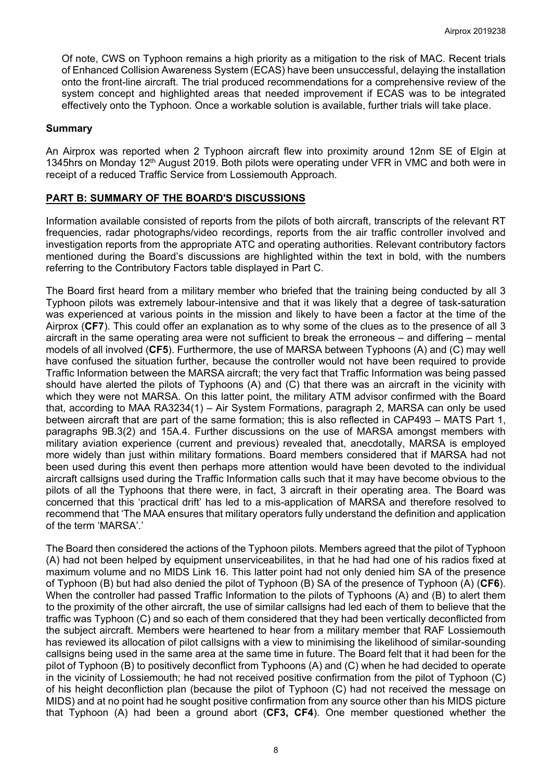Of note, CWS on Typhoon remains a high priority as a mitigation to the risk of MAC. Recent trials of Enhanced Collision Awareness System (ECAS) have been unsuccessful, delaying the installation onto the front-line aircraft. The trial produced recommendations for a comprehensive review of the system concept and highlighted areas that needed improvement if ECAS was to be integrated effectively onto the Typhoon. Once a workable solution is available, further trials will take place.

#### **Summary**

An Airprox was reported when 2 Typhoon aircraft flew into proximity around 12nm SE of Elgin at 1345hrs on Monday 12th August 2019. Both pilots were operating under VFR in VMC and both were in receipt of a reduced Traffic Service from Lossiemouth Approach.

#### **PART B: SUMMARY OF THE BOARD'S DISCUSSIONS**

Information available consisted of reports from the pilots of both aircraft, transcripts of the relevant RT frequencies, radar photographs/video recordings, reports from the air traffic controller involved and investigation reports from the appropriate ATC and operating authorities. Relevant contributory factors mentioned during the Board's discussions are highlighted within the text in bold, with the numbers referring to the Contributory Factors table displayed in Part C.

The Board first heard from a military member who briefed that the training being conducted by all 3 Typhoon pilots was extremely labour-intensive and that it was likely that a degree of task-saturation was experienced at various points in the mission and likely to have been a factor at the time of the Airprox (**CF7**). This could offer an explanation as to why some of the clues as to the presence of all 3 aircraft in the same operating area were not sufficient to break the erroneous – and differing – mental models of all involved (**CF5**). Furthermore, the use of MARSA between Typhoons (A) and (C) may well have confused the situation further, because the controller would not have been required to provide Traffic Information between the MARSA aircraft; the very fact that Traffic Information was being passed should have alerted the pilots of Typhoons (A) and (C) that there was an aircraft in the vicinity with which they were not MARSA. On this latter point, the military ATM advisor confirmed with the Board that, according to MAA RA3234(1) – Air System Formations, paragraph 2, MARSA can only be used between aircraft that are part of the same formation; this is also reflected in CAP493 – MATS Part 1, paragraphs 9B.3(2) and 15A.4. Further discussions on the use of MARSA amongst members with military aviation experience (current and previous) revealed that, anecdotally, MARSA is employed more widely than just within military formations. Board members considered that if MARSA had not been used during this event then perhaps more attention would have been devoted to the individual aircraft callsigns used during the Traffic Information calls such that it may have become obvious to the pilots of all the Typhoons that there were, in fact, 3 aircraft in their operating area. The Board was concerned that this 'practical drift' has led to a mis-application of MARSA and therefore resolved to recommend that 'The MAA ensures that military operators fully understand the definition and application of the term 'MARSA'.'

The Board then considered the actions of the Typhoon pilots. Members agreed that the pilot of Typhoon (A) had not been helped by equipment unserviceabilites, in that he had had one of his radios fixed at maximum volume and no MIDS Link 16. This latter point had not only denied him SA of the presence of Typhoon (B) but had also denied the pilot of Typhoon (B) SA of the presence of Typhoon (A) (**CF6**). When the controller had passed Traffic Information to the pilots of Typhoons (A) and (B) to alert them to the proximity of the other aircraft, the use of similar callsigns had led each of them to believe that the traffic was Typhoon (C) and so each of them considered that they had been vertically deconflicted from the subject aircraft. Members were heartened to hear from a military member that RAF Lossiemouth has reviewed its allocation of pilot callsigns with a view to minimising the likelihood of similar-sounding callsigns being used in the same area at the same time in future. The Board felt that it had been for the pilot of Typhoon (B) to positively deconflict from Typhoons (A) and (C) when he had decided to operate in the vicinity of Lossiemouth; he had not received positive confirmation from the pilot of Typhoon (C) of his height deconfliction plan (because the pilot of Typhoon (C) had not received the message on MIDS) and at no point had he sought positive confirmation from any source other than his MIDS picture that Typhoon (A) had been a ground abort (**CF3, CF4**). One member questioned whether the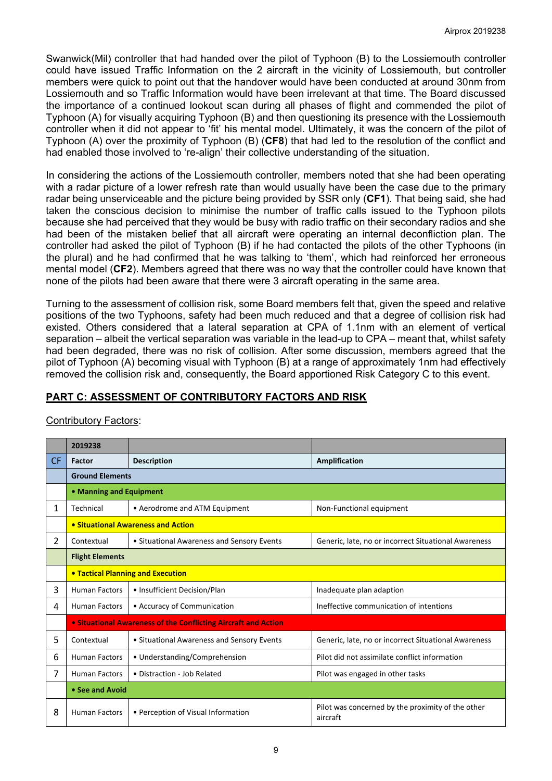Swanwick(Mil) controller that had handed over the pilot of Typhoon (B) to the Lossiemouth controller could have issued Traffic Information on the 2 aircraft in the vicinity of Lossiemouth, but controller members were quick to point out that the handover would have been conducted at around 30nm from Lossiemouth and so Traffic Information would have been irrelevant at that time. The Board discussed the importance of a continued lookout scan during all phases of flight and commended the pilot of Typhoon (A) for visually acquiring Typhoon (B) and then questioning its presence with the Lossiemouth controller when it did not appear to 'fit' his mental model. Ultimately, it was the concern of the pilot of Typhoon (A) over the proximity of Typhoon (B) (**CF8**) that had led to the resolution of the conflict and had enabled those involved to 're-align' their collective understanding of the situation.

In considering the actions of the Lossiemouth controller, members noted that she had been operating with a radar picture of a lower refresh rate than would usually have been the case due to the primary radar being unserviceable and the picture being provided by SSR only (**CF1**). That being said, she had taken the conscious decision to minimise the number of traffic calls issued to the Typhoon pilots because she had perceived that they would be busy with radio traffic on their secondary radios and she had been of the mistaken belief that all aircraft were operating an internal deconfliction plan. The controller had asked the pilot of Typhoon (B) if he had contacted the pilots of the other Typhoons (in the plural) and he had confirmed that he was talking to 'them', which had reinforced her erroneous mental model (**CF2**). Members agreed that there was no way that the controller could have known that none of the pilots had been aware that there were 3 aircraft operating in the same area.

Turning to the assessment of collision risk, some Board members felt that, given the speed and relative positions of the two Typhoons, safety had been much reduced and that a degree of collision risk had existed. Others considered that a lateral separation at CPA of 1.1nm with an element of vertical separation – albeit the vertical separation was variable in the lead-up to CPA – meant that, whilst safety had been degraded, there was no risk of collision. After some discussion, members agreed that the pilot of Typhoon (A) becoming visual with Typhoon (B) at a range of approximately 1nm had effectively removed the collision risk and, consequently, the Board apportioned Risk Category C to this event.

# **PART C: ASSESSMENT OF CONTRIBUTORY FACTORS AND RISK**

|                | 2019238                                                        |                                            |                                                               |  |  |  |  |  |  |  |  |
|----------------|----------------------------------------------------------------|--------------------------------------------|---------------------------------------------------------------|--|--|--|--|--|--|--|--|
| <b>CF</b>      | Factor                                                         | <b>Description</b>                         | Amplification                                                 |  |  |  |  |  |  |  |  |
|                | <b>Ground Elements</b>                                         |                                            |                                                               |  |  |  |  |  |  |  |  |
|                | • Manning and Equipment                                        |                                            |                                                               |  |  |  |  |  |  |  |  |
| 1              | Technical                                                      | • Aerodrome and ATM Equipment              | Non-Functional equipment                                      |  |  |  |  |  |  |  |  |
|                | • Situational Awareness and Action                             |                                            |                                                               |  |  |  |  |  |  |  |  |
| $\overline{2}$ | Contextual                                                     | • Situational Awareness and Sensory Events | Generic, late, no or incorrect Situational Awareness          |  |  |  |  |  |  |  |  |
|                | <b>Flight Elements</b>                                         |                                            |                                                               |  |  |  |  |  |  |  |  |
|                | <b>. Tactical Planning and Execution</b>                       |                                            |                                                               |  |  |  |  |  |  |  |  |
| 3              | <b>Human Factors</b>                                           | • Insufficient Decision/Plan               | Inadequate plan adaption                                      |  |  |  |  |  |  |  |  |
| 4              | <b>Human Factors</b>                                           | • Accuracy of Communication                | Ineffective communication of intentions                       |  |  |  |  |  |  |  |  |
|                | • Situational Awareness of the Conflicting Aircraft and Action |                                            |                                                               |  |  |  |  |  |  |  |  |
| 5              | Contextual                                                     | • Situational Awareness and Sensory Events | Generic, late, no or incorrect Situational Awareness          |  |  |  |  |  |  |  |  |
| 6              | <b>Human Factors</b>                                           | • Understanding/Comprehension              | Pilot did not assimilate conflict information                 |  |  |  |  |  |  |  |  |
| 7              | <b>Human Factors</b>                                           | • Distraction - Job Related                | Pilot was engaged in other tasks                              |  |  |  |  |  |  |  |  |
|                | • See and Avoid                                                |                                            |                                                               |  |  |  |  |  |  |  |  |
| 8              | <b>Human Factors</b>                                           | • Perception of Visual Information         | Pilot was concerned by the proximity of the other<br>aircraft |  |  |  |  |  |  |  |  |

# Contributory Factors: